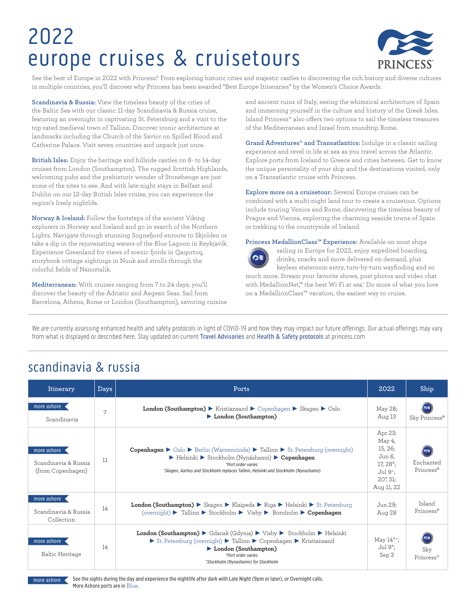# 2022 europe cruises & cruisetours



See the best of Europe in 2022 with Princess.® From exploring historic cities and majestic castles to discovering the rich history and diverse cultures in multiple countries, you'll discover why Princess has been awarded "Best Europe Itineraries" by the Women's Choice Awards.

**Scandinavia & Russia:** View the timeless beauty of the cities of the Baltic Sea with our classic 11-day Scandinavia & Russia cruise, featuring an overnight in captivating St. Petersburg and a visit to the top-rated medieval town of Tallinn. Discover iconic architecture at landmarks including the Church of the Savior on Spilled Blood and Catherine Palace. Visit seven countries and unpack just once.

**British Isles:** Enjoy the heritage and hillside castles on 8- to 14-day cruises from London (Southampton). The rugged Scottish Highlands, welcoming pubs and the prehistoric wonder of Stonehenge are just some of the sites to see. And with late-night stays in Belfast and Dublin on our 12-day British Isles cruise, you can experience the region's lively nightlife.

**Norway & Iceland:** Follow the footsteps of the ancient Viking explorers in Norway and Iceland and go in search of the Northern Lights. Navigate through stunning Sognefjord enroute to Skjolden or take a dip in the rejuvenating waters of the Blue Lagoon in Reykjavik. Experience Greenland for views of scenic fjords in Qaqortoq, storybook cottage sightings in Nuuk and strolls through the colorful fields of Nanortalik.

**Mediterranean:** With cruises ranging from 7 to 24 days, you'll discover the beauty of the Adriatic and Aegean Seas. Sail from Barcelona, Athens, Rome or London (Southampton), savoring cuisine and ancient ruins of Italy, seeing the whimsical architecture of Spain and immersing yourself in the culture and history of the Greek Isles. Island Princess® also offers two options to sail the timeless treasures of the Mediterranean and Israel from roundtrip Rome.

**Grand Adventures® and Transatlantics:** Indulge in a classic sailing experience and revel in life at sea as you travel across the Atlantic. Explore ports from Iceland to Greece and cities between. Get to know the unique personality of your ship and the destinations visited, only on a Transatlantic cruise with Princess.

**Explore more on a cruisetour:** Several Europe cruises can be combined with a multi-night land tour to create a cruisetour. Options include touring Venice and Rome, discovering the timeless beauty of Prague and Vienna, exploring the charming seaside towns of Spain or trekking to the countryside of Ireland.

**Princess MedallionClass™️ Experience:** Available on most ships



sailing in Europe for 2022, enjoy expedited boarding, drinks, snacks and more delivered on demand, plus keyless stateroom entry, turn-by-turn wayfinding and so much more. Stream your favorite shows, post photos and video chat

with MedallionNet,™ the best Wi-Fi at sea.† Do more of what you love on a MedallionClass™️ vacation, the easiest way to cruise.

We are currently assessing enhanced health and safety protocols in light of COVID-19 and how they may impact our future offerings. Our actual offerings may vary from what is displayed or described here. Stay updated on current Travel Advisories and Health & Safety protocols at princess.com

#### scandinavia & russia

| Itinerary                                                | Days | Ports                                                                                                                                                                                                                                                                                                            | 2022                                                                                                          | Ship                   |
|----------------------------------------------------------|------|------------------------------------------------------------------------------------------------------------------------------------------------------------------------------------------------------------------------------------------------------------------------------------------------------------------|---------------------------------------------------------------------------------------------------------------|------------------------|
| more ashore<br>Scandinavia                               | 7    | <b>London (Southampton)</b> $\triangleright$ Kristiansand $\triangleright$ Copenhagen $\triangleright$ Skagen $\triangleright$ Oslo<br>London (Southampton)                                                                                                                                                      | May 28;<br>Aug 13                                                                                             | Sky Princess®          |
| more ashore<br>Scandinavia & Russia<br>(from Copenhagen) | 11   | <b>Copenhagen</b> $\triangleright$ Oslo $\triangleright$ Berlin (Warnemünde) $\triangleright$ Tallinn $\triangleright$ St. Petersburg (overnight)<br>Expendixed > Stockholm (Nynäshamn) > Copenhagen<br>*Port order varies<br>"Skagen, Aarhus and Stockholm replaces Tallinn, Helsinki and Stockholm (Nynashamn) | Apr 23;<br>May 4,<br>15, 26;<br>Jun 6.<br>17, 28 <sup>*</sup> ;<br>Jul 9^,<br>$20^{\ast}$ , 31;<br>Aug 11, 22 | Enchanted<br>Princess® |
| more ashore<br>Scandinavia & Russia<br>Collection        | 14   | <b>London (Southampton)</b> Skagen Klaipeda Riga Helsinki St. Petersburg<br>(overnight) $\blacktriangleright$ Tallinn $\blacktriangleright$ Stockholm $\blacktriangleright$ Visby $\blacktriangleright$ Bornholm $\blacktriangleright$ Copenhagen                                                                | Jun 29;<br>Aug 28                                                                                             | Island<br>Princess®    |
| more ashore<br>Baltic Heritage                           | 14   | <b>London (Southampton)</b> Gdansk (Gdynia) $\triangleright$ Visby $\triangleright$ Stockholm $\triangleright$ Helsinki<br>St. Petersburg (overnight) > Tallinn > Copenhagen > Kristiansand<br>London (Southampton)<br>*Port order varies<br>^Stockholm (Nynashamn) for Stockholm                                | May $14^*$ ;<br>Jul 9 <sup>*</sup> :<br>Sep 3                                                                 | Sky<br>Princess®       |



See the sights during the day and experience the nightlife after dark with Late Night (9pm or later), or Overnight calls. More Ashore ports are in Blue.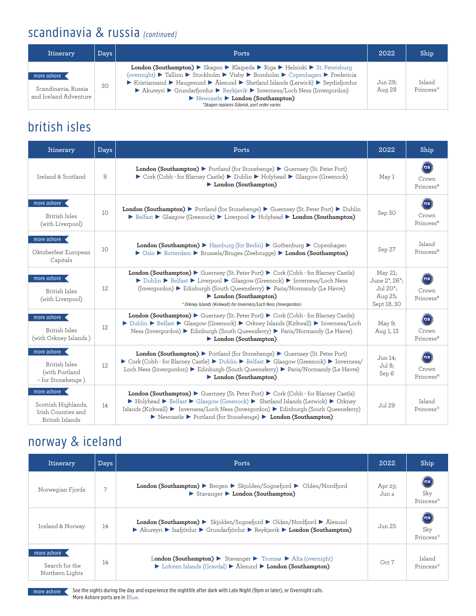#### scandinavia & russia (continued)

| Itinerary                                                   | $_{\text{Days}}$ | Ports                                                                                                                                                                                                                                                                                                                                                                                                                                                                                                    | 2022              | Ship                |
|-------------------------------------------------------------|------------------|----------------------------------------------------------------------------------------------------------------------------------------------------------------------------------------------------------------------------------------------------------------------------------------------------------------------------------------------------------------------------------------------------------------------------------------------------------------------------------------------------------|-------------------|---------------------|
| more ashore<br>Scandinavia, Russia<br>and Iceland Adventure | 30               | <b>London (Southampton)</b> Skagen Klaipeda Riga Helsinki St. Petersburg<br>(overnight) ► Tallinn ► Stockholm ► Visby ► Bornholm ► Copenhagen ► Fredericia<br>Experience $\triangleright$ Haugesund $\triangleright$ Ålesund $\triangleright$ Shetland Islands (Lerwick) $\triangleright$ Seydisfiordur<br>▶ Akureyri ▶ Grundarfjordur ▶ Reykjavik ▶ Inverness/Loch Ness (Invergordon)<br>$\triangleright$ Newcastle $\triangleright$ London (Southampton)<br>*Skagen replaces Gdansk, port order varies | Jun 29:<br>Aug 28 | Island<br>Princess® |

#### british isles

| Itinerary                                                                                | <b>Days</b> | Ports                                                                                                                                                                                                                                                                                                                                  |                                                                             | Ship                           |
|------------------------------------------------------------------------------------------|-------------|----------------------------------------------------------------------------------------------------------------------------------------------------------------------------------------------------------------------------------------------------------------------------------------------------------------------------------------|-----------------------------------------------------------------------------|--------------------------------|
| Ireland & Scotland                                                                       | 8           | <b>London (Southampton)</b> $\triangleright$ Portland (for Stonehenge) $\triangleright$ Guernsey (St. Peter Port)<br>► Cork (Cobh - for Blarney Castle) ► Dublin ► Holyhead ► Glasgow (Greenock)<br>London (Southampton)                                                                                                               | May 1                                                                       | $\alpha$<br>Crown<br>Princess® |
| more ashore<br>British Isles<br>(with Liverpool)                                         | 10          | <b>London (Southampton)</b> $\blacktriangleright$ Portland (for Stonehenge) $\blacktriangleright$ Guernsey (St. Peter Port) $\blacktriangleright$ Dublin<br>▶ Belfast ▶ Glasgow (Greenock) ▶ Liverpool ▶ Holyhead ▶ London (Southampton)                                                                                               |                                                                             | ′ങ<br>Crown<br>Princess®       |
| more ashore<br>Oktoberfest European<br>Capitals                                          | 10          | <b>London (Southampton)</b> $\blacktriangleright$ Hamburg (for Berlin) $\blacktriangleright$ Gothenburg $\blacktriangleright$ Copenhagen<br>▶ Oslo ▶ Rotterdam ▶ Brussels/Bruges (Zeebrugge) ▶ London (Southampton)                                                                                                                    | Sep 27                                                                      | Island<br>Princess®            |
| more ashore <<br>British Isles<br>(with Liverpool)                                       | 12          | London (Southampton) Guernsey (St. Peter Port) Cork (Cobh - for Blarney Castle)<br>▶ Dublin ▶ Belfast ▶ Liverpool ▶ Glasgow (Greenock) ▶ Inverness/Loch Ness<br>(Invergordon) ► Edinburgh (South Queensferry) ► Paris/Normandy (Le Havre)<br>London (Southampton)<br>* Orkney Islands (Kirkwall) for Inverness/Loch Ness (Invergordon) | May 21;<br>June 2*, 26*;<br>Jul 20 <sup>*</sup> ;<br>Aug 25;<br>Sept 18, 30 | $\sigma$<br>Crown<br>Princess® |
| more ashore <<br>British Isles<br>(with Orkney Islands)                                  | 12          | London (Southampton) Guernsey (St. Peter Port) Cork (Cobh - for Blarney Castle)<br>▶ Dublin ▶ Belfast ▶ Glasgow (Greenock) ▶ Orkney Islands (Kirkwall) ▶ Inverness/Loch<br>Ness (Invergordon) ► Edinburgh (South Queensferry) ► Paris/Normandy (Le Havre)<br>London (Southampton)                                                      |                                                                             | $\alpha$<br>Crown<br>Princess® |
| more ashore $\triangleleft$<br>British Isles<br>(with Portland<br>- for Stonehenge)      | 12.         | London (Southampton) > Portland (for Stonehenge) > Guernsey (St. Peter Port)<br>Cork (Cobh - for Blarney Castle) Dublin Delfast Glasgow (Greenock) Duverness/<br>Loch Ness (Invergordon) ► Edinburgh (South Queensferry) ► Paris/Normandy (Le Havre)<br>London (Southampton)                                                           | Jun 14:<br>Jul 8;<br>Sep 6                                                  | Crown<br>Princess®             |
| more ashore $\leftarrow$<br>Scottish Highlands,<br>Irish Counties and<br>British Islands | 14          | London (Southampton) Guernsey (St. Peter Port) Cork (Cobh - for Blarney Castle)<br>▶ Holyhead ▶ Belfast ▶ Glasgow (Greenock) ▶ Shetland Islands (Lerwick) ▶ Orkney<br>Islands (Kirkwall) ▶ Inverness/Loch Ness (Invergordon) ▶ Edinburgh (South Queensferry)<br>Newcastle > Portland (for Stonehenge) > London (Southampton)           |                                                                             | Island<br>Princess®            |

#### norway & iceland

| Itinerary                                        | <b>Days</b>    | Ports                                                                                                                                                                                                                         | 2022             | Ship                                         |
|--------------------------------------------------|----------------|-------------------------------------------------------------------------------------------------------------------------------------------------------------------------------------------------------------------------------|------------------|----------------------------------------------|
| Norwegian Fjords                                 | $\overline{7}$ | <b>London (Southampton)</b> $\triangleright$ Bergen $\triangleright$ Skjolden/Sognefjord $\triangleright$ Olden/Nordfjord<br>Stavanger > London (Southampton)                                                                 | Apr 23;<br>Jun 4 | $\left( \alpha z\right)$<br>Sky<br>Princess® |
| Iceland & Norway                                 | 14             | <b>London (Southampton)</b> Skjolden/Sognefjord $\triangleright$ Olden/Nordfjord $\triangleright$ Ålesund<br>▶ Akureyri ▶ Isafjördur ▶ Grundarfjördur ▶ Reykjavik ▶ London (Southampton)                                      | Jun 25           | Œ<br>Sky<br>Princess®                        |
| more ashore<br>Search for the<br>Northern Lights | 14             | London (Southampton) $\triangleright$ Stavanger $\triangleright$ Tromsø $\triangleright$ Alta (overnight)<br>$\triangleright$ Lofoten Islands (Graydal) $\triangleright$ Ålesund $\triangleright$ <b>London (Southampton)</b> | Oct 7            | Island<br>Princess®                          |



See the sights during the day and experience the nightlife after dark with Late Night (9pm or later), or Overnight calls. more ashore See the sights during the day are<br>More Ashore ports are in Blue.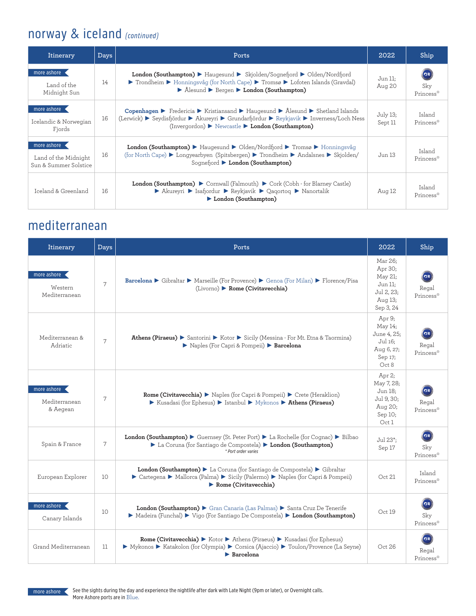# norway & iceland (continued)

| Itinerary                                                    | <b>Days</b> | Ports                                                                                                                                                                                                                                                                  |                   | Ship                    |
|--------------------------------------------------------------|-------------|------------------------------------------------------------------------------------------------------------------------------------------------------------------------------------------------------------------------------------------------------------------------|-------------------|-------------------------|
| more ashore<br>Land of the<br>Midnight Sun                   | 14          | <b>London (Southampton)</b> • Haugesund • Skjolden/Sognefjord • Olden/Nordfjord<br>▶ Trondheim ▶ Honningsvåg (for North Cape) ▶ Tromsø ▶ Lofoten Islands (Gravdal)<br>▶ Ålesund ▶ Bergen ▶ London (Southampton)                                                        | Jun 11:<br>Aug 20 | (৫≋<br>Sky<br>Princess® |
| more ashore<br>Icelandic & Norwegian<br>Fjords               | 16          | Copenhagen ▶ Fredericia ▶ Kristiansand ▶ Haugesund ▶ Alesund ▶ Shetland Islands<br>(Lerwick) ▶ Seydisfjördur ▶ Akureyri ▶ Grundarfjördur ▶ Reykjavik ▶ Inverness/Loch Ness<br>(Invergordon) $\blacktriangleright$ Newcastle $\blacktriangleright$ London (Southampton) |                   | Island<br>Princess®     |
| more ashore<br>Land of the Midnight<br>Sun & Summer Solstice | 16          | <b>London (Southampton)</b> • Haugesund • Olden/Nordfjord • Tromsø • Honningsvåg<br>(for North Cape) Congyearbyen (Spitsbergen) Crondheim CAndalsnes Cskjolden/<br>Sognefiord London (Southampton)                                                                     |                   | Island<br>Princess®     |
| Iceland & Greenland                                          | 16          | <b>London (Southampton)</b> $\triangleright$ Cornwall (Falmouth) $\triangleright$ Cork (Cobh - for Blarney Castle)<br>▶ Akureyri ▶ Isafjordur ▶ Reykjavik ▶ Qagortog ▶ Nanortalik<br>London (Southampton)                                                              | Aug 12            | Island<br>Princess®     |

#### mediterranean

| Itinerary                                 | <b>Days</b> | Ports                                                                                                                                                                                                     | 2022                                                                           | Ship                     |
|-------------------------------------------|-------------|-----------------------------------------------------------------------------------------------------------------------------------------------------------------------------------------------------------|--------------------------------------------------------------------------------|--------------------------|
| more ashore <<br>Western<br>Mediterranean | 7           | Barcelona ▶ Gibraltar ▶ Marseille (For Provence) ▶ Genoa (For Milan) ▶ Florence/Pisa<br>(Livorno) > Rome (Civitavecchia)                                                                                  | Mar 26;<br>Apr 30;<br>May 21:<br>Jun 11;<br>Jul 2, 23;<br>Aug 13:<br>Sep 3, 24 | Regal<br>Princess®       |
| Mediterranean &<br>Adriatic               | 7           | Athens (Piraeus) ► Santorini ► Kotor ► Sicily (Messina - For Mt. Etna & Taormina)<br>Naples (For Capri & Pompeii) Barcelona                                                                               | Apr 9;<br>May 14;<br>June 4, 25;<br>Jul 16;<br>Aug 6, 27;<br>Sep 17;<br>Oct 8  | Regal<br>Princess®       |
| more ashore<br>Mediterranean<br>& Aegean  | 7           | Rome (Civitavecchia) > Naples (for Capri & Pompeii) > Crete (Heraklion)<br>Extendasi (for Ephesus) Estanbul Extends: Extends (Piraeus)                                                                    | Apr 2;<br>May 7, 28;<br>Jun 18:<br>Jul 9, 30;<br>Aug 20;<br>Sep 10;<br>Oct 1   | n≆<br>Regal<br>Princess® |
| Spain & France                            | 7           | London (Southampton) Cuernsey (St. Peter Port) La Rochelle (for Cognac) Elibao<br>La Coruna (for Santiago de Compostela) London (Southampton)<br>* Port order varies                                      | Jul 23*;<br>Sep 17                                                             | ര≋<br>Skv<br>Princess®   |
| European Explorer                         | 10          | London (Southampton) > La Coruna (for Santiago de Compostela) > Gibraltar<br>Cartegena > Mallorca (Palma) > Sicily (Palermo) > Naples (for Capri & Pompeii)<br>$\blacktriangleright$ Rome (Civitavecchia) | Oct 21                                                                         | Island<br>Princess®      |
| more ashore<br>Canary Islands             | 10          | London (Southampton) > Gran Canaria (Las Palmas) > Santa Cruz De Tenerife<br>▶ Madeira (Funchal) ▶ Vigo (For Santiago De Compostela) ▶ London (Southampton)                                               | Oct 19                                                                         | n≋<br>Sky<br>Princess®   |
| Grand Mediterranean                       | 11          | Rome (Civitavecchia) > Kotor > Athens (Piraeus) > Kusadasi (for Ephesus)<br>▶ Mykonos ▶ Katakolon (for Olympia) ▶ Corsica (Ajaccio) ▶ Toulon/Provence (La Seyne)<br>$\blacktriangleright$ Barcelona       | Oct 26                                                                         | Regal<br>Princess®       |

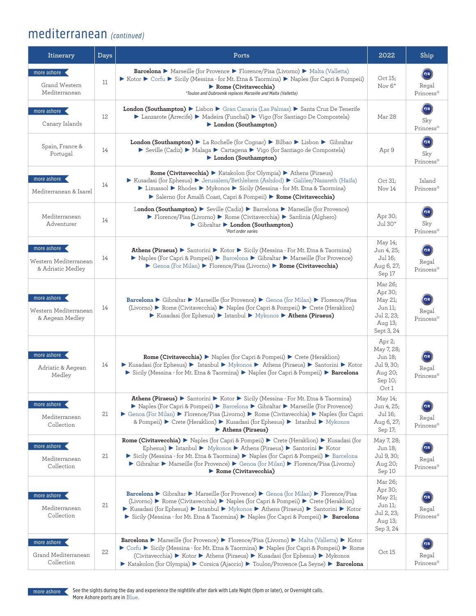### mediterranean (continued)

| Itinerary                                                 | Days | Ports                                                                                                                                                                                                                                                                                                                                                                                                                                               |                                                                                 | Ship                                         |
|-----------------------------------------------------------|------|-----------------------------------------------------------------------------------------------------------------------------------------------------------------------------------------------------------------------------------------------------------------------------------------------------------------------------------------------------------------------------------------------------------------------------------------------------|---------------------------------------------------------------------------------|----------------------------------------------|
| more ashore<br>Grand Western<br>Mediterranean             | 11   | <b>Barcelona ▶</b> Marseille (for Provence ▶ Florence/Pisa (Livorno) ▶ Malta (Valletta)<br>► Kotor ► Corfu ► Sicily (Messina - for Mt. Etna & Taormina) ► Naples (for Capri & Pompeii)<br>$\blacktriangleright$ Rome (Civitavecchia)<br>*Toulon and Dubrovnik replaces Marseille and Malta (Valletta)                                                                                                                                               | Oct 15:<br>Nov $6^*$                                                            | $\sigma$<br>Regal<br>Princess®               |
| more ashore<br>Canary Islands                             | 12   | London (Southampton) > Lisbon > Gran Canaria (Las Palmas) > Santa Cruz De Tenerife<br>▶ Lanzarote (Arrecife) ▶ Madeira (Funchal) ▶ Vigo (For Santiago De Compostela)<br>London (Southampton)                                                                                                                                                                                                                                                        | Mar 28                                                                          | $\sigma$<br>Sky<br>Princess®                 |
| Spain, France &<br>Portugal                               | 14   | <b>London (Southampton)</b> La Rochelle (for Cognac) $\triangleright$ Bilbao $\triangleright$ Lisbon $\triangleright$ Gibraltar<br>Seville (Cadiz) > Malaga > Cartagena > Vigo (for Santiago de Compostela)<br>London (Southampton)                                                                                                                                                                                                                 | Apr 9                                                                           | $\sigma$<br>Sky<br>Princess®                 |
| more ashore<br>Mediterranean & Isarel                     | 14   | Rome (Civitavecchia) > Katakolon (for Olympia) > Athens (Piraeus)<br>Extendasi (for Ephesus) E Jerusalem/Bethlehem (Ashdod) E Galilee/Nazareth (Haifa)<br>▶ Limassol ▶ Rhodes ▶ Mykonos ▶ Sicily (Messina - for Mt. Etna & Taormina)<br>Salerno (for Amalfi Coast, Capri & Pompeii) > Rome (Civitavecchia)                                                                                                                                          | Oct 31:<br>Nov 14                                                               | Island<br>Princess®                          |
| Mediterranean<br>Adventurer                               | 14   | London (Southampton) $\triangleright$ Seville (Cadiz) $\triangleright$ Barcelona $\triangleright$ Marseille (for Provence)<br>▶ Florence/Pisa (Livorno) ▶ Rome (Civitavecchia) ▶ Sardinia (Alghero)<br>$\triangleright$ Gibraltar $\triangleright$ London (Southampton)<br>*Port order varies                                                                                                                                                       | Apr 30;<br>Jul 30*                                                              | $\left( \alpha z\right)$<br>Sky<br>Princess® |
| more ashore<br>Western Mediterranean<br>& Adriatic Medley | 14   | <b>Athens (Piraeus) ►</b> Santorini ► Kotor ► Sicily (Messina - For Mt. Etna & Taormina)<br>▶ Naples (For Capri & Pompeii) ▶ Barcelona ▶ Gibraltar ▶ Marseille (For Provence)<br>▶ Genoa (For Milan) ▶ Florence/Pisa (Livorno) ▶ Rome (Civitavecchia)                                                                                                                                                                                               | May 14;<br>Jun 4, 25;<br>Jul 16;<br>Aug 6, 27;<br>Sep 17                        | ⊙≋<br>Regal<br>Princess®                     |
| more ashore<br>Western Mediterranean<br>& Aegean Medley   | 14   | Barcelona ► Gibraltar ► Marseille (for Provence) ► Genoa (for Milan) ► Florence/Pisa<br>(Livorno) ▶ Rome (Civitavecchia) ▶ Naples (for Capri & Pompeii) ▶ Crete (Heraklion)<br>Extendasi (for Ephesus) Estanbul Extended States (Piraeus)                                                                                                                                                                                                           | Mar 26;<br>Apr 30;<br>May 21;<br>Jun 11;<br>Jul 2, 23;<br>Aug 13;<br>Sept 3, 24 | Regal<br>Princess®                           |
| more ashore<br>Adriatic & Aegean<br>Medley                | 14   | <b>Rome (Civitavecchia)</b> ▶ Naples (for Capri & Pompeii) ▶ Crete (Heraklion)<br>▶ Kusadasi (for Ephesus) ▶ Istanbul ▶ Mykonos ▶ Athens (Piraeus) ▶ Santorini ▶ Kotor<br>Sicily (Messina - for Mt. Etna & Taormina) > Naples (for Capri & Pompeii) > Barcelona                                                                                                                                                                                     | Apr 2;<br>May 7, 28;<br>Jun 18:<br>Jul 9, 30;<br>Aug 20;<br>Sep 10;<br>Oct1     | Regal<br>Princess®                           |
| more ashore<br>Mediterranean<br>Collection                | 21   | <b>Athens (Piraeus) ►</b> Santorini ► Kotor ► Sicily (Messina - For Mt. Etna & Taormina)<br>▶ Naples (For Capri & Pompeii) ▶ Barcelona ▶ Gibraltar ▶ Marseille (For Provence)<br>Genoa (For Milan) Florence/Pisa (Livorno) Flome (Civitavecchia) Florence (for Capri<br>& Pompeii) Crete (Heraklion) C Kusadasi (for Ephesus) C Istanbul C Mykonos<br>Athens (Piraeus)                                                                              | May 14;<br>Jun 4, 25;<br>Jul 16;<br>Aug 6, 27;<br>Sep 17;                       | $\sigma$<br>Regal<br>Princess®               |
| more ashore<br>Mediterranean<br>Collection                | 21   | Rome (Civitavecchia) > Naples (for Capri & Pompeii) > Crete (Heraklion) > Kusadasi (for<br>Ephesus) $\triangleright$ Istanbul $\triangleright$ Mykonos $\triangleright$ Athens (Piraeus) $\triangleright$ Santorini $\triangleright$ Kotor<br>Sicily (Messina - for Mt. Etna & Taormina) > Naples (for Capri & Pompeii) > Barcelona<br>• Gibraltar • Marseille (for Provence) • Genoa (for Milan) • Florence/Pisa (Livorno)<br>Rome (Civitavecchia) | May 7, 28;<br>Jun 18;<br>Jul 9, 30;<br>Aug 20;<br>Sep 10                        | Regal<br>Princess®                           |
| more ashore<br>Mediterranean<br>Collection                | 21   | Barcelona ▶ Gibraltar ▶ Marseille (for Provence) ▶ Genoa (for Milan) ▶ Florence/Pisa<br>(Livorno) ▶ Rome (Civitavecchia) ▶ Naples (for Capri & Pompeii) ▶ Crete (Heraklion)<br>▶ Kusadasi (for Ephesus) ▶ Istanbul ▶ Mykonos ▶ Athens (Piraeus) ▶ Santorini ▶ Kotor<br>Sicily (Messina - for Mt. Etna & Taormina) > Naples (for Capri & Pompeii) > Barcelona                                                                                        | Mar 26;<br>Apr 30;<br>May 21;<br>Jun 11;<br>Jul 2, 23;<br>Aug 13;<br>Sep 3, 24  | $\alpha$<br>Regal<br>Princess®               |
| more ashore<br>Grand Mediterranean<br>Collection          | 22   | <b>Barcelona</b> ▶ Marseille (for Provence) ▶ Florence/Pisa (Livorno) ▶ Malta (Valletta) ▶ Kotor<br>▶ Corfu ▶ Sicily (Messina - for Mt. Etna & Taormina) ▶ Naples (for Capri & Pompeii) ▶ Rome<br>(Civitavecchia) ▶ Kotor ▶ Athens (Piraeus) ▶ Kusadasi (for Ephesus) ▶ Mykonos<br>▶ Katakolon (for Olympia) ▶ Corsica (Ajaccio) ▶ Toulon/Provence (La Seyne) ▶ Barcelona                                                                           | Oct 15                                                                          | $\sigma$<br>Regal<br>Princess®               |

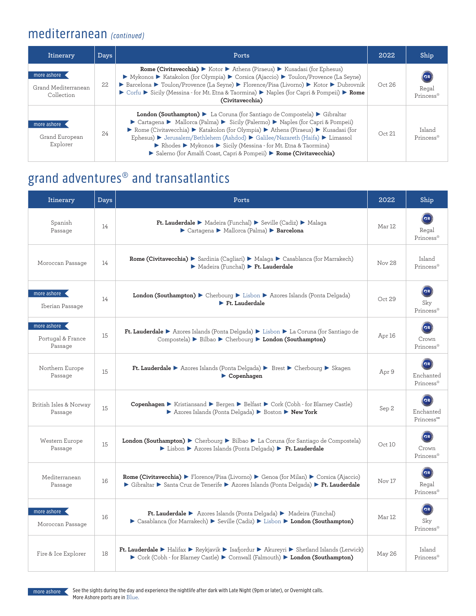#### mediterranean (continued)

| Itinerary                                        | Days | Ports                                                                                                                                                                                                                                                                                                                                                                                                                                                                    | 2022   | Ship                |
|--------------------------------------------------|------|--------------------------------------------------------------------------------------------------------------------------------------------------------------------------------------------------------------------------------------------------------------------------------------------------------------------------------------------------------------------------------------------------------------------------------------------------------------------------|--------|---------------------|
| more ashore<br>Grand Mediterranean<br>Collection | 22.  | <b>Rome (Civitavecchia)</b> $\triangleright$ Kotor $\triangleright$ Athens (Piraeus) $\triangleright$ Kusadasi (for Ephesus)<br>▶ Mykonos ▶ Katakolon (for Olympia) ▶ Corsica (Ajaccio) ▶ Toulon/Provence (La Seyne)<br>▶ Barcelona ▶ Toulon/Provence (La Seyne) ▶ Florence/Pisa (Livorno) ▶ Kotor ▶ Dubrovnik<br>▶ Corfu ▶ Sicily (Messina - for Mt. Etna & Taormina) ▶ Naples (for Capri & Pompeii) ▶ Rome<br>(Civitavecchia)                                          | Oct 26 | Regal<br>Princess®  |
| more ashore<br>Grand European<br>Explorer        | 2.4  | London (Southampton) > La Coruna (for Santiago de Compostela) > Gibraltar<br>► Cartagena ► Mallorca (Palma) ► Sicily (Palermo) ► Naples (for Capri & Pompeii)<br>Rome (Civitavecchia) > Katakolon (for Olympia) > Athens (Piraeus) > Kusadasi (for<br>Ephesus) ▶ Jerusalem/Bethlehem (Ashdod) ▶ Galilee/Nazareth (Haifa) ▶ Limassol<br>Rhodes Mykonos > Sicily (Messina - for Mt. Etna & Taormina)<br>Salerno (for Amalfi Coast, Capri & Pompeii) > Rome (Civitavecchia) | Oct 21 | Island<br>Princess® |

# grand adventures® and transatlantics

| Itinerary                                                | Days | Ports                                                                                                                                                                                                                                                                      |        | Ship                                           |
|----------------------------------------------------------|------|----------------------------------------------------------------------------------------------------------------------------------------------------------------------------------------------------------------------------------------------------------------------------|--------|------------------------------------------------|
| Spanish<br>Passage                                       | 14   | Ft. Lauderdale > Madeira (Funchal) > Seville (Cadiz) > Malaga<br>Cartagena Mallorca (Palma) Barcelona                                                                                                                                                                      | Mar 12 | $\alpha$<br>Regal<br>Princess®                 |
| Moroccan Passage                                         | 14   | Rome (Civitavecchia) > Sardinia (Cagliari) > Malaga > Casablanca (for Marrakech)<br>Madeira (Funchal) Ft. Lauderdale                                                                                                                                                       |        | Island<br>Princess®                            |
| more ashore<br>Iberian Passage                           | 14   | London (Southampton) > Cherbourg > Lisbon > Azores Islands (Ponta Delgada)<br>$\blacktriangleright$ Ft. Lauderdale                                                                                                                                                         |        | $\alpha$<br>Sky<br>Princess®                   |
| more ashore $\leftarrow$<br>Portugal & France<br>Passage | 15   | Ft. Lauderdale > Azores Islands (Ponta Delgada) > Lisbon > La Coruna (for Santiago de<br>Compostela) > Bilbao > Cherbourg > London (Southampton)                                                                                                                           | Apr 16 | (೧≋<br>Crown<br>Princess®                      |
| Northern Europe<br>Passage                               | 15   | Ft. Lauderdale > Azores Islands (Ponta Delgada) > Brest > Cherbourg > Skagen<br>$\blacktriangleright$ Copenhagen                                                                                                                                                           |        | Enchanted<br>Princess®                         |
| British Isles & Norway<br>Passage                        | 15   | Copenhagen > Kristiansand > Bergen > Belfast > Cork (Cobh - for Blarney Castle)<br>Azores Islands (Ponta Delgada) > Boston > New York                                                                                                                                      |        | Enchanted<br>Princess <sup>™</sup>             |
| Western Europe<br>Passage                                | 15   | London (Southampton) > Cherbourg > Bilbao > La Coruna (for Santiago de Compostela)<br>> Lisbon > Azores Islands (Ponta Delgada) > Ft. Lauderdale                                                                                                                           | Oct10  | $\left( \alpha z\right)$<br>Crown<br>Princess® |
| Mediterranean<br>Passage                                 | 16   | Rome (Civitavecchia) > Florence/Pisa (Livorno) > Genoa (for Milan) > Corsica (Ajaccio)<br>▶ Gibraltar ▶ Santa Cruz de Tenerife ▶ Azores Islands (Ponta Delgada) ▶ Ft. Lauderdale                                                                                           | Nov 17 | $\sigma$<br>Regal<br>Princess®                 |
| more ashore <<br>Moroccan Passage                        | 16   | <b>Ft. Lauderdale</b> > Azores Islands (Ponta Delgada) > Madeira (Funchal)<br>Casablanca (for Marrakech) > Seville (Cadiz) > Lisbon > London (Southampton)                                                                                                                 | Mar 12 | ೧≇<br>Sky<br>Princess®                         |
| Fire & Ice Explorer                                      | 18   | Ft. Lauderdale $\blacktriangleright$ Halifax $\blacktriangleright$ Reykjavik $\blacktriangleright$ Isafjordur $\blacktriangleright$ Akureyri $\blacktriangleright$ Shetland Islands (Lerwick)<br>Cork (Cobh - for Blarney Castle) Cornwall (Falmouth) Condon (Southampton) | May 26 | Island<br>Princess®                            |

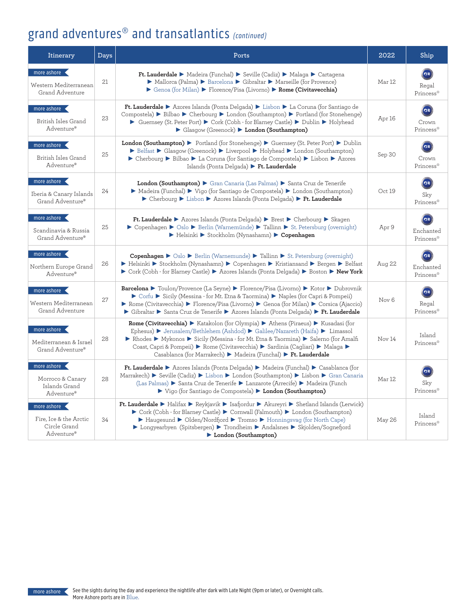# grand adventures<sup>®</sup> and transatlantics (continued)

| Itinerary                                                                 | Days | Ports                                                                                                                                                                                                                                                                                                                                                                                                                    | 2022              | Ship                         |
|---------------------------------------------------------------------------|------|--------------------------------------------------------------------------------------------------------------------------------------------------------------------------------------------------------------------------------------------------------------------------------------------------------------------------------------------------------------------------------------------------------------------------|-------------------|------------------------------|
| more ashore<br>Western Mediterranean<br>Grand Adventure                   | 21   | Ft. Lauderdale > Madeira (Funchal) > Seville (Cadiz) > Malaga > Cartagena<br>▶ Mallorca (Palma) ▶ Barcelona ▶ Gibraltar ▶ Marseille (for Provence)<br>▶ Genoa (for Milan) ▶ Florence/Pisa (Livorno) ▶ Rome (Civitavecchia)                                                                                                                                                                                               | Mar 12            | (≎≋<br>Regal<br>Princess®    |
| more ashore<br>British Isles Grand<br>Adventure®                          | 23   | Ft. Lauderdale ▶ Azores Islands (Ponta Delgada) ▶ Lisbon ▶ La Coruna (for Santiago de<br>Compostela) ▶ Bilbao ▶ Cherbourg ▶ London (Southampton) ▶ Portland (for Stonehenge)<br>► Guernsey (St. Peter Port) ► Cork (Cobh - for Blarney Castle) ► Dublin ► Holyhead<br>Glasgow (Greenock) > London (Southampton)                                                                                                          | Apr 16            | ′ങ<br>Crown<br>Princess®     |
| more ashore $\leftarrow$<br>British Isles Grand<br>Adventure®             | 25   | London (Southampton) > Portland (for Stonehenge) > Guernsey (St. Peter Port) > Dublin<br>▶ Belfast ▶ Glasgow (Greenock) ▶ Liverpool ▶ Holyhead ▶ London (Southampton)<br>► Cherbourg ► Bilbao ► La Coruna (for Santiago de Compostela) ► Lisbon ► Azores<br>Islands (Ponta Delgada) > Ft. Lauderdale                                                                                                                     | Sep 30            | Crown<br>Princess®           |
| more ashore<br>Iberia & Canary Islands<br>Grand Adventure®                | 24   | London (Southampton) > Gran Canaria (Las Palmas) > Santa Cruz de Tenerife<br>• Madeira (Funchal) • Vigo (for Santiago de Compostela) • London (Southampton)<br>▶ Cherbourg ▶ Lisbon ▶ Azores Islands (Ponta Delgada) ▶ Ft. Lauderdale                                                                                                                                                                                    | Oct 19            | $\alpha$<br>Sky<br>Princess® |
| more ashore<br>Scandinavia & Russia<br>Grand Adventure®                   | 25   | <b>Ft. Lauderdale</b> $\triangleright$ Azores Islands (Ponta Delgada) $\triangleright$ Brest $\triangleright$ Cherbourg $\triangleright$ Skagen<br>▶ Copenhagen ▶ Oslo ▶ Berlin (Warnemünde) ▶ Tallinn ▶ St. Petersburg (overnight)<br>Elsinki Stockholm (Nynashamn) Copenhagen                                                                                                                                          | Apr 9             | Enchanted<br>Princess®       |
| more ashore $\leftarrow$<br>Northern Europe Grand<br>Adventure®           | 26   | Copenhagen ▶ Oslo ▶ Berlin (Warnemunde) ▶ Tallinn ▶ St. Petersburg (overnight)<br>► Helsinki ► Stockholm (Nynashamn) ► Copenhagen ► Kristiansand ► Bergen ► Belfast<br>► Cork (Cobh - for Blarney Castle) ► Azores Islands (Ponta Delgada) ► Boston ► New York                                                                                                                                                           | Aug 22            | Enchanted<br>Princess®       |
| more ashore<br>Western Mediterranean<br>Grand Adventure                   | 27   | <b>Barcelona ►</b> Toulon/Provence (La Seyne) ► Florence/Pisa (Livorno) ► Kotor ► Dubrovnik<br>► Corfu ► Sicily (Messina - for Mt. Etna & Taormina) ► Naples (for Capri & Pompeii)<br>▶ Rome (Civitavecchia) ▶ Florence/Pisa (Livorno) ▶ Genoa (for Milan) ▶ Corsica (Ajaccio)<br>▶ Gibraltar ▶ Santa Cruz de Tenerife ▶ Azores Islands (Ponta Delgada) ▶ Ft. Lauderdale                                                 | Nov <sub>6</sub>  | Regal<br>Princess®           |
| more ashore $\triangleleft$<br>Mediterranean & Israel<br>Grand Adventure® | 28   | <b>Rome (Civitavecchia)</b> > Katakolon (for Olympia) > Athens (Piraeus) > Kusadasi (for<br>Ephesus) ▶ Jerusalem/Bethlehem (Ashdod) ▶ Galilee/Nazareth (Haifa) ▶ Limassol<br>▶ Rhodes ▶ Mykonos ▶ Sicily (Messina - for Mt. Etna & Taormina) ▶ Salerno (for Amalfi<br>Coast, Capri & Pompeii) ▶ Rome (Civitavecchia) ▶ Sardinia (Cagliari) ▶ Malaga ▶<br>Casablanca (for Marrakech) ▶ Madeira (Funchal) ▶ Ft. Lauderdale | Nov <sub>14</sub> | Island<br>Princess®          |
| more ashore<br>Morroco & Canary<br>Islands Grand<br>Adventure®            | 28   | Ft. Lauderdale ▶ Azores Islands (Ponta Delgada) ▶ Madeira (Funchal) ▶ Casablanca (for<br>Marrakech) ▶ Seville (Cadiz) ▶ Lisbon ▶ London (Southampton) ▶ Lisbon ▶ Gran Canaria<br>(Las Palmas) ▶ Santa Cruz de Tenerife ▶ Lanzarote (Arrecife) ▶ Madeira (Funch<br>▶ Vigo (for Santiago de Compostela) ▶ London (Southampton)                                                                                             | Mar 12            | Sky<br>Princess®             |
| more ashore <<br>Fire. Ice & the Arctic<br>Circle Grand<br>Adventure®     | 34   | Ft. Lauderdale ▶ Halifax ▶ Reykjavik ▶ Isafjordur ▶ Akureyri ▶ Shetland Islands (Lerwick)<br>$\triangleright$ Cork (Cobh - for Blarney Castle) $\triangleright$ Cornwall (Falmouth) $\triangleright$ London (Southampton)<br>▶ Haugesund ▶ Olden/Nordfjord ▶ Tromso ▶ Honningsvag (for North Cape)<br>▶ Longyearbyen (Spitsbergen) ▶ Trondheim ▶ Andalsnes ▶ Skjolden/Sognefjord<br>London (Southampton)                 | May 26            | Island<br>Princess®          |